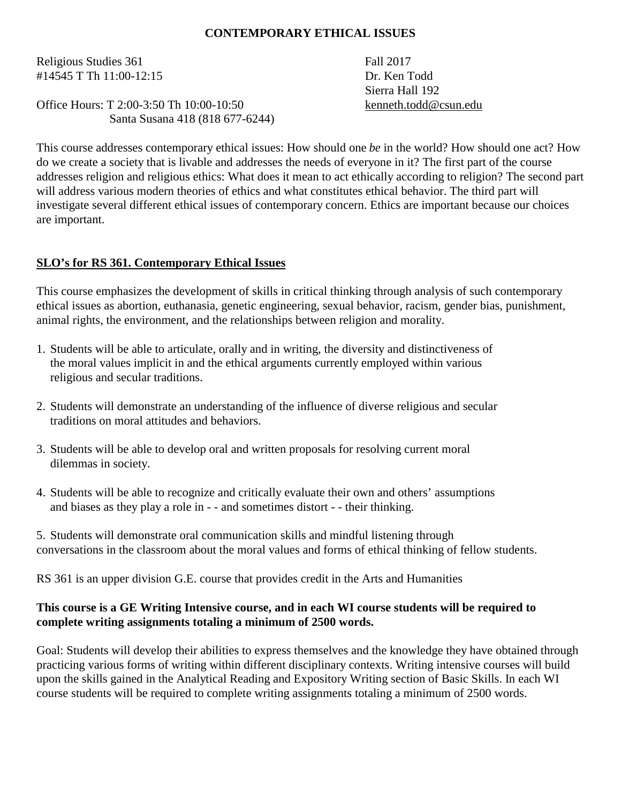### **CONTEMPORARY ETHICAL ISSUES**

Religious Studies 361 Fall 2017 #14545 T Th 11:00-12:15 Dr. Ken Todd

Office Hours: T 2:00-3:50 Th 10:00-10:50 [kenneth.todd@csun.edu](mailto:kenneth.todd@csun.edu) Santa Susana 418 (818 677-6244)

Sierra Hall 192

This course addresses contemporary ethical issues: How should one *be* in the world? How should one act? How do we create a society that is livable and addresses the needs of everyone in it? The first part of the course addresses religion and religious ethics: What does it mean to act ethically according to religion? The second part will address various modern theories of ethics and what constitutes ethical behavior. The third part will investigate several different ethical issues of contemporary concern. Ethics are important because our choices are important.

### **SLO's for RS 361. Contemporary Ethical Issues**

This course emphasizes the development of skills in critical thinking through analysis of such contemporary ethical issues as abortion, euthanasia, genetic engineering, sexual behavior, racism, gender bias, punishment, animal rights, the environment, and the relationships between religion and morality.

- 1. Students will be able to articulate, orally and in writing, the diversity and distinctiveness of the moral values implicit in and the ethical arguments currently employed within various religious and secular traditions.
- 2. Students will demonstrate an understanding of the influence of diverse religious and secular traditions on moral attitudes and behaviors.
- 3. Students will be able to develop oral and written proposals for resolving current moral dilemmas in society.
- 4. Students will be able to recognize and critically evaluate their own and others' assumptions and biases as they play a role in - - and sometimes distort - - their thinking.
- 5. Students will demonstrate oral communication skills and mindful listening through conversations in the classroom about the moral values and forms of ethical thinking of fellow students.

RS 361 is an upper division G.E. course that provides credit in the Arts and Humanities

### **This course is a GE Writing Intensive course, and in each WI course students will be required to complete writing assignments totaling a minimum of 2500 words.**

Goal: Students will develop their abilities to express themselves and the knowledge they have obtained through practicing various forms of writing within different disciplinary contexts. Writing intensive courses will build upon the skills gained in the Analytical Reading and Expository Writing section of Basic Skills. In each WI course students will be required to complete writing assignments totaling a minimum of 2500 words.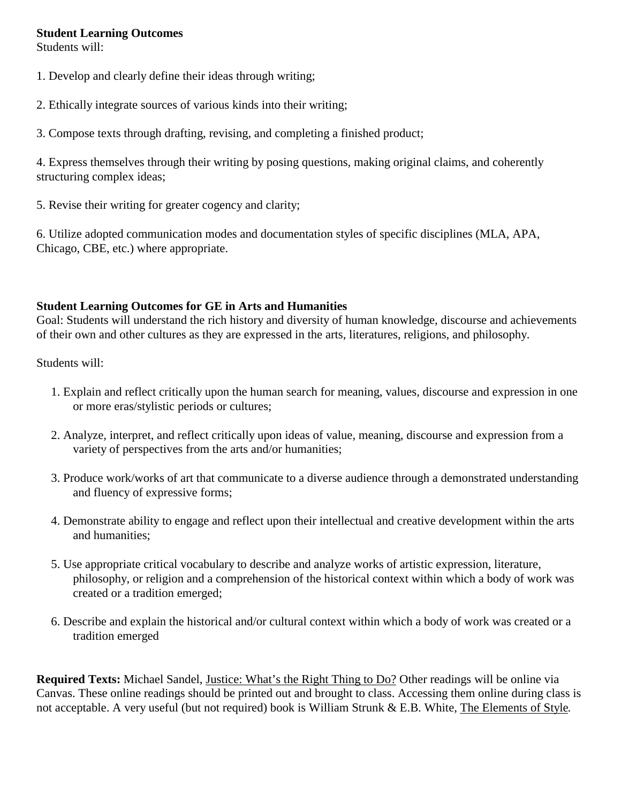#### **Student Learning Outcomes**

Students will:

- 1. Develop and clearly define their ideas through writing;
- 2. Ethically integrate sources of various kinds into their writing;
- 3. Compose texts through drafting, revising, and completing a finished product;

4. Express themselves through their writing by posing questions, making original claims, and coherently structuring complex ideas;

5. Revise their writing for greater cogency and clarity;

6. Utilize adopted communication modes and documentation styles of specific disciplines (MLA, APA, Chicago, CBE, etc.) where appropriate.

# **Student Learning Outcomes for GE in Arts and Humanities**

Goal: Students will understand the rich history and diversity of human knowledge, discourse and achievements of their own and other cultures as they are expressed in the arts, literatures, religions, and philosophy.

Students will:

- 1. Explain and reflect critically upon the human search for meaning, values, discourse and expression in one or more eras/stylistic periods or cultures;
- 2. Analyze, interpret, and reflect critically upon ideas of value, meaning, discourse and expression from a variety of perspectives from the arts and/or humanities;
- 3. Produce work/works of art that communicate to a diverse audience through a demonstrated understanding and fluency of expressive forms;
- 4. Demonstrate ability to engage and reflect upon their intellectual and creative development within the arts and humanities;
- 5. Use appropriate critical vocabulary to describe and analyze works of artistic expression, literature, philosophy, or religion and a comprehension of the historical context within which a body of work was created or a tradition emerged;
- 6. Describe and explain the historical and/or cultural context within which a body of work was created or a tradition emerged

**Required Texts:** Michael Sandel, Justice: What's the Right Thing to Do? Other readings will be online via Canvas. These online readings should be printed out and brought to class. Accessing them online during class is not acceptable. A very useful (but not required) book is William Strunk & E.B. White, The Elements of Style.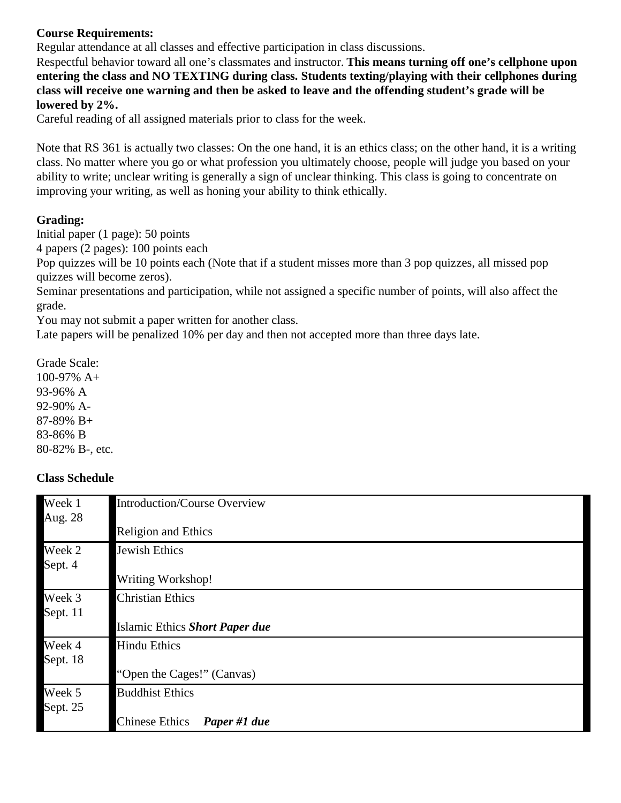# **Course Requirements:**

Regular attendance at all classes and effective participation in class discussions.

Respectful behavior toward all one's classmates and instructor. **This means turning off one's cellphone upon entering the class and NO TEXTING during class. Students texting/playing with their cellphones during class will receive one warning and then be asked to leave and the offending student's grade will be lowered by 2%.**

Careful reading of all assigned materials prior to class for the week.

Note that RS 361 is actually two classes: On the one hand, it is an ethics class; on the other hand, it is a writing class. No matter where you go or what profession you ultimately choose, people will judge you based on your ability to write; unclear writing is generally a sign of unclear thinking. This class is going to concentrate on improving your writing, as well as honing your ability to think ethically.

### **Grading:**

Initial paper (1 page): 50 points

4 papers (2 pages): 100 points each

Pop quizzes will be 10 points each (Note that if a student misses more than 3 pop quizzes, all missed pop quizzes will become zeros).

Seminar presentations and participation, while not assigned a specific number of points, will also affect the grade.

You may not submit a paper written for another class.

Late papers will be penalized 10% per day and then not accepted more than three days late.

Grade Scale: 100-97% A+ 93-96% A 92-90% A-87-89% B+ 83-86% B 80-82% B-, etc.

### **Class Schedule**

| Week 1<br>Aug. 28  | <b>Introduction/Course Overview</b>   |
|--------------------|---------------------------------------|
|                    | <b>Religion and Ethics</b>            |
| Week 2<br>Sept. 4  | Jewish Ethics                         |
|                    | <b>Writing Workshop!</b>              |
| Week 3<br>Sept. 11 | <b>Christian Ethics</b>               |
|                    | Islamic Ethics Short Paper due        |
| Week 4<br>Sept. 18 | <b>Hindu Ethics</b>                   |
|                    | "Open the Cages!" (Canvas)            |
| Week 5<br>Sept. 25 | <b>Buddhist Ethics</b>                |
|                    | <b>Chinese Ethics</b><br>Paper #1 due |